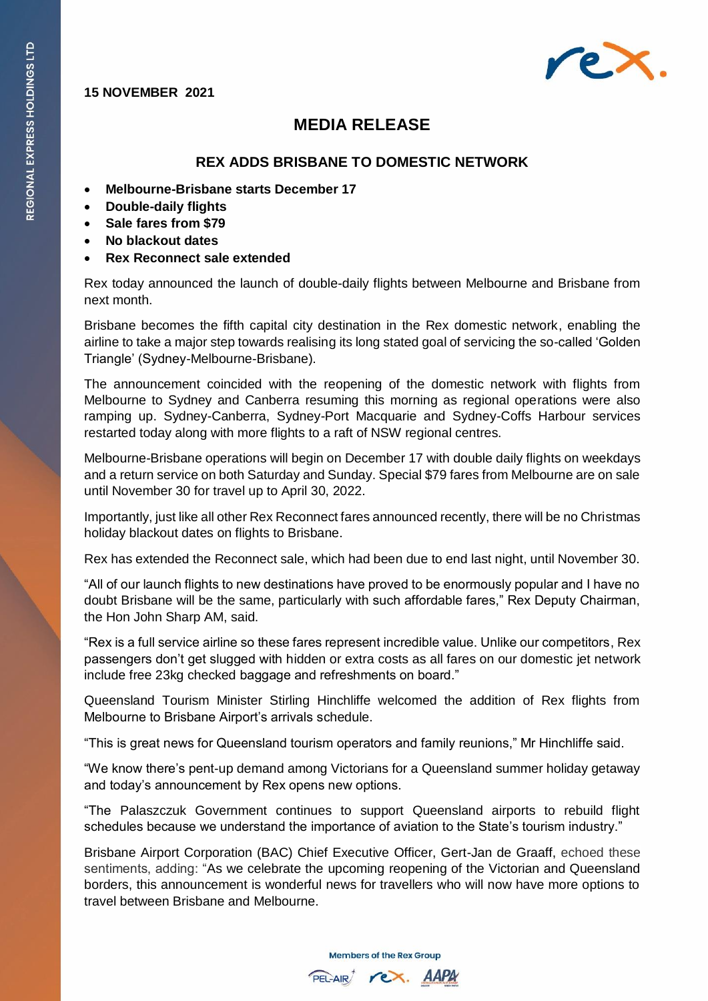## **15 NOVEMBER 2021**



## **MEDIA RELEASE**

## **REX ADDS BRISBANE TO DOMESTIC NETWORK**

- **Melbourne-Brisbane starts December 17**
- **Double-daily flights**
- **Sale fares from \$79**
- **No blackout dates**
- **Rex Reconnect sale extended**

Rex today announced the launch of double-daily flights between Melbourne and Brisbane from next month.

Brisbane becomes the fifth capital city destination in the Rex domestic network, enabling the airline to take a major step towards realising its long stated goal of servicing the so-called 'Golden Triangle' (Sydney-Melbourne-Brisbane).

The announcement coincided with the reopening of the domestic network with flights from Melbourne to Sydney and Canberra resuming this morning as regional operations were also ramping up. Sydney-Canberra, Sydney-Port Macquarie and Sydney-Coffs Harbour services restarted today along with more flights to a raft of NSW regional centres.

Melbourne-Brisbane operations will begin on December 17 with double daily flights on weekdays and a return service on both Saturday and Sunday. Special \$79 fares from Melbourne are on sale until November 30 for travel up to April 30, 2022.

Importantly, just like all other Rex Reconnect fares announced recently, there will be no Christmas holiday blackout dates on flights to Brisbane.

Rex has extended the Reconnect sale, which had been due to end last night, until November 30.

"All of our launch flights to new destinations have proved to be enormously popular and I have no doubt Brisbane will be the same, particularly with such affordable fares," Rex Deputy Chairman, the Hon John Sharp AM, said.

"Rex is a full service airline so these fares represent incredible value. Unlike our competitors, Rex passengers don't get slugged with hidden or extra costs as all fares on our domestic jet network include free 23kg checked baggage and refreshments on board."

Queensland Tourism Minister Stirling Hinchliffe welcomed the addition of Rex flights from Melbourne to Brisbane Airport's arrivals schedule.

"This is great news for Queensland tourism operators and family reunions," Mr Hinchliffe said.

"We know there's pent-up demand among Victorians for a Queensland summer holiday getaway and today's announcement by Rex opens new options.

"The Palaszczuk Government continues to support Queensland airports to rebuild flight schedules because we understand the importance of aviation to the State's tourism industry."

Brisbane Airport Corporation (BAC) Chief Executive Officer, Gert-Jan de Graaff, echoed these sentiments, adding: "As we celebrate the upcoming reopening of the Victorian and Queensland borders, this announcement is wonderful news for travellers who will now have more options to travel between Brisbane and Melbourne.

**Members of the Rex Group** 

PEL-AIR rex. AAPA